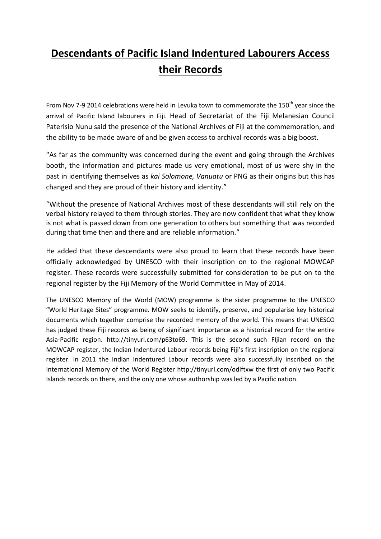## **Descendants of Pacific Island Indentured Labourers Access their Records**

From Nov 7-9 2014 celebrations were held in Levuka town to commemorate the 150<sup>th</sup> year since the arrival of Pacific Island labourers in Fiji. Head of Secretariat of the Fiji Melanesian Council Paterisio Nunu said the presence of the National Archives of Fiji at the commemoration, and the ability to be made aware of and be given access to archival records was a big boost.

"As far as the community was concerned during the event and going through the Archives booth, the information and pictures made us very emotional, most of us were shy in the past in identifying themselves as *kai Solomone, Vanuatu* or PNG as their origins but this has changed and they are proud of their history and identity."

"Without the presence of National Archives most of these descendants will still rely on the verbal history relayed to them through stories. They are now confident that what they know is not what is passed down from one generation to others but something that was recorded during that time then and there and are reliable information."

He added that these descendants were also proud to learn that these records have been officially acknowledged by UNESCO with their inscription on to the regional MOWCAP register. These records were successfully submitted for consideration to be put on to the regional register by the Fiji Memory of the World Committee in May of 2014.

The UNESCO Memory of the World (MOW) programme is the sister programme to the UNESCO "World Heritage Sites" programme. MOW seeks to identify, preserve, and popularise key historical documents which together comprise the recorded memory of the world. This means that UNESCO has judged these Fiji records as being of significant importance as a historical record for the entire Asia-Pacific region. http://tinyurl.com/p63to69. This is the second such FIjian record on the MOWCAP register, the Indian Indentured Labour records being Fiji's first inscription on the regional register. In 2011 the Indian Indentured Labour records were also successfully inscribed on the International Memory of the World Register http://tinyurl.com/odlftxw the first of only two Pacific Islands records on there, and the only one whose authorship was led by a Pacific nation.